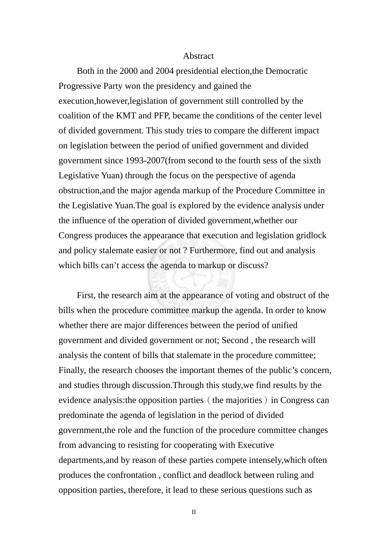## Abstract

Both in the 2000 and 2004 presidential election,the Democratic Progressive Party won the presidency and gained the execution,however,legislation of government still controlled by the coalition of the KMT and PFP, became the conditions of the center level of divided government. This study tries to compare the different impact on legislation between the period of unified government and divided government since 1993-2007(from second to the fourth sess of the sixth Legislative Yuan) through the focus on the perspective of agenda obstruction,and the major agenda markup of the Procedure Committee in the Legislative Yuan.The goal is explored by the evidence analysis under the influence of the operation of divided government,whether our Congress produces the appearance that execution and legislation gridlock and policy stalemate easier or not ? Furthermore, find out and analysis which bills can't access the agenda to markup or discuss?

First, the research aim at the appearance of voting and obstruct of the bills when the procedure committee markup the agenda. In order to know whether there are major differences between the period of unified government and divided government or not; Second , the research will analysis the content of bills that stalemate in the procedure committee; Finally, the research chooses the important themes of the public's concern, and studies through discussion.Through this study,we find results by the evidence analysis: the opposition parties (the majorities) in Congress can predominate the agenda of legislation in the period of divided government,the role and the function of the procedure committee changes from advancing to resisting for cooperating with Executive departments,and by reason of these parties compete intensely,which often produces the confrontation , conflict and deadlock between ruling and opposition parties, therefore, it lead to these serious questions such as

II